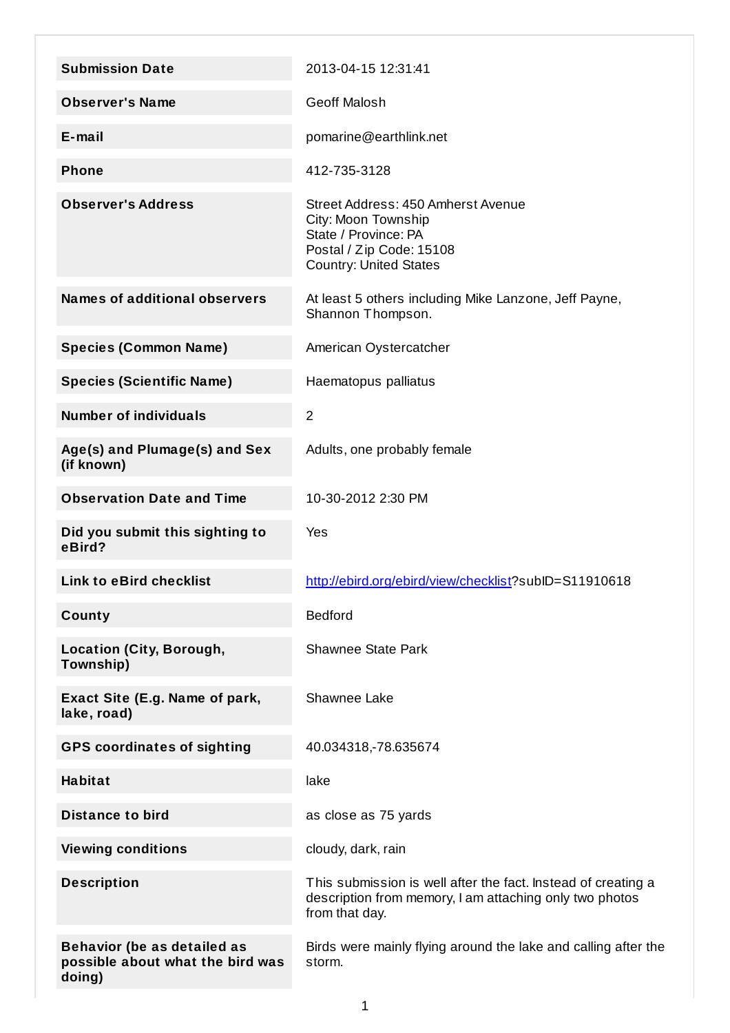| <b>Submission Date</b>                        | 2013-04-15 12:31:41                                                                                                                            |
|-----------------------------------------------|------------------------------------------------------------------------------------------------------------------------------------------------|
| <b>Observer's Name</b>                        | <b>Geoff Malosh</b>                                                                                                                            |
| $E$ -mail                                     | pomarine@earthlink.net                                                                                                                         |
| <b>Phone</b>                                  | 412-735-3128                                                                                                                                   |
|                                               |                                                                                                                                                |
| <b>Observer's Address</b>                     | Street Address: 450 Amherst Avenue<br>City: Moon Township<br>State / Province: PA<br>Postal / Zip Code: 15108<br><b>Country: United States</b> |
| <b>Names of additional observers</b>          | At least 5 others including Mike Lanzone, Jeff Payne,<br>Shannon Thompson.                                                                     |
| <b>Species (Common Name)</b>                  | American Oystercatcher                                                                                                                         |
| <b>Species (Scientific Name)</b>              | Haematopus palliatus                                                                                                                           |
| <b>Number of individuals</b>                  | $\overline{2}$                                                                                                                                 |
| Age(s) and Plumage(s) and Sex<br>(if known)   | Adults, one probably female                                                                                                                    |
| <b>Observation Date and Time</b>              | 10-30-2012 2:30 PM                                                                                                                             |
| Did you submit this sighting to<br>eBird?     | Yes                                                                                                                                            |
| <b>Link to eBird checklist</b>                | http://ebird.org/ebird/view/checklist?subID=S11910618                                                                                          |
|                                               |                                                                                                                                                |
| County                                        | <b>Bedford</b>                                                                                                                                 |
| <b>Location (City, Borough,</b><br>Township)  | <b>Shawnee State Park</b>                                                                                                                      |
| Exact Site (E.g. Name of park,<br>lake, road) | Shawnee Lake                                                                                                                                   |
| <b>GPS coordinates of sighting</b>            | 40.034318,-78.635674                                                                                                                           |
| <b>Habitat</b>                                | lake                                                                                                                                           |
| <b>Distance to bird</b>                       | as close as 75 yards                                                                                                                           |
| <b>Viewing conditions</b>                     | cloudy, dark, rain                                                                                                                             |
| <b>Description</b>                            | This submission is well after the fact. Instead of creating a<br>description from memory, I am attaching only two photos<br>from that day.     |